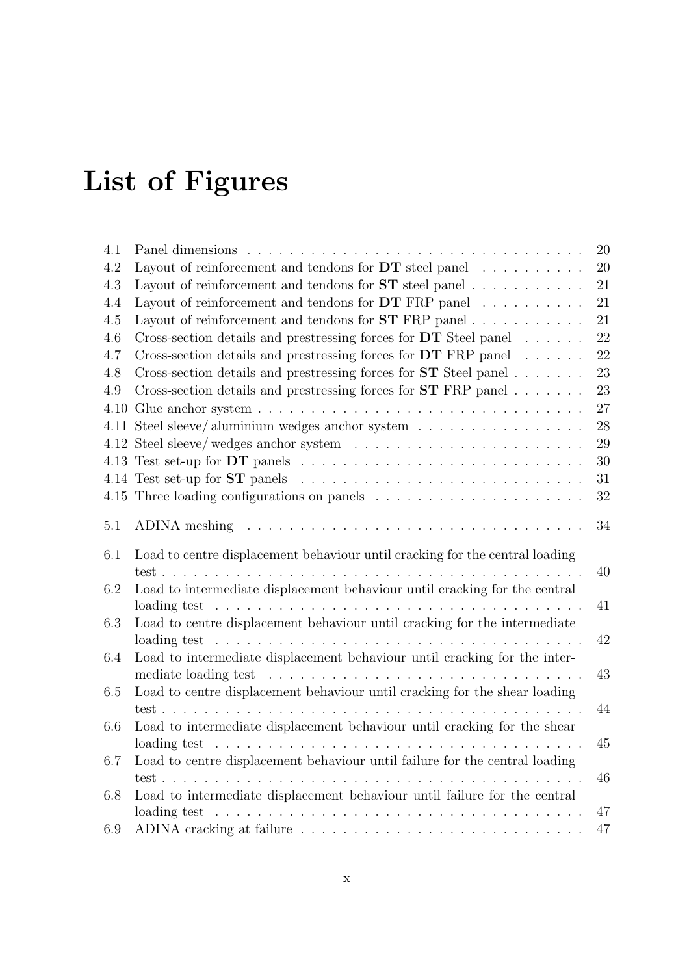## List of Figures

| 4.1     |                                                                                                        | 20       |
|---------|--------------------------------------------------------------------------------------------------------|----------|
| $4.2\,$ | Layout of reinforcement and tendons for $DT$ steel panel                                               | 20       |
| 4.3     | Layout of reinforcement and tendons for $ST$ steel panel                                               | 21       |
| 4.4     | Layout of reinforcement and tendons for $DT$ FRP panel $\ldots \ldots \ldots$                          | 21       |
| 4.5     | Layout of reinforcement and tendons for $ST$ FRP panel                                                 | 21       |
| 4.6     | Cross-section details and prestressing forces for $DT$ Steel panel                                     | 22       |
| 4.7     | Cross-section details and prestressing forces for $DT$ FRP panel $\dots \dots$                         | 22       |
| 4.8     | Cross-section details and prestressing forces for $ST$ Steel panel                                     | 23       |
| 4.9     | Cross-section details and prestressing forces for $ST$ FRP panel                                       | 23       |
| 4.10    |                                                                                                        | $27\,$   |
| 4.11    | Steel sleeve/aluminium wedges anchor system                                                            | 28       |
|         |                                                                                                        | 29       |
|         |                                                                                                        | 30       |
|         |                                                                                                        | 31       |
|         |                                                                                                        | 32       |
| $5.1\,$ | ADINA meshing                                                                                          | 34       |
| 6.1     | Load to centre displacement behaviour until cracking for the central loading                           |          |
|         | test<br>$\mathbf{r}$ , $\mathbf{r}$ , $\mathbf{r}$ , $\mathbf{r}$ , $\mathbf{r}$ , $\mathbf{r}$        | 40       |
| 6.2     | Load to intermediate displacement behaviour until cracking for the central                             |          |
|         | loading test<br><u>. A series and a series and a series and a series and a series and a series and</u> | 41       |
| 6.3     | Load to centre displacement behaviour until cracking for the intermediate                              |          |
|         | loading test $\ldots \ldots \ldots \ldots \ldots \ldots \ldots \ldots \ldots \ldots$                   | 42       |
| 6.4     | Load to intermediate displacement behaviour until cracking for the inter-                              |          |
|         | mediate loading test                                                                                   | 43       |
| 6.5     | Load to centre displacement behaviour until cracking for the shear loading                             |          |
|         |                                                                                                        | 44       |
| 6.6     | Load to intermediate displacement behaviour until cracking for the shear                               |          |
|         | loading test<br>and a straight                                                                         | 45       |
| 6.7     | Load to centre displacement behaviour until failure for the central loading                            |          |
|         |                                                                                                        |          |
|         | $test \dots \dots \dots \dots \dots$<br>$\ddot{\phantom{a}}$                                           | 46       |
| 6.8     | Load to intermediate displacement behaviour until failure for the central                              |          |
| 6.9     | loading test                                                                                           | 47<br>47 |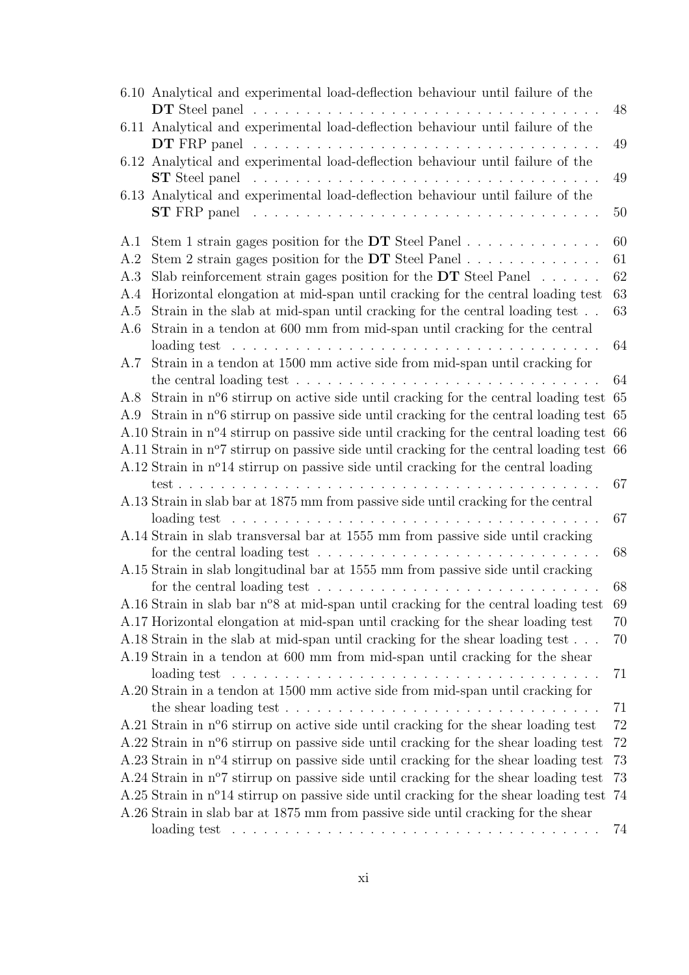| 6.10 Analytical and experimental load-deflection behaviour until failure of the                                                                                                | 48     |
|--------------------------------------------------------------------------------------------------------------------------------------------------------------------------------|--------|
| 6.11 Analytical and experimental load-deflection behaviour until failure of the                                                                                                |        |
| 6.12 Analytical and experimental load-deflection behaviour until failure of the                                                                                                | 49     |
|                                                                                                                                                                                | 49     |
| 6.13 Analytical and experimental load-deflection behaviour until failure of the<br>ST FRP panel $\ldots \ldots \ldots \ldots \ldots \ldots \ldots \ldots \ldots \ldots \ldots$ | 50     |
| A.1                                                                                                                                                                            | 60     |
| A.2                                                                                                                                                                            | 61     |
| Slab reinforcement strain gages position for the $DT$ Steel Panel $\ldots \ldots$<br>A.3                                                                                       | 62     |
| Horizontal elongation at mid-span until cracking for the central loading test<br>A.4                                                                                           | 63     |
| Strain in the slab at mid-span until cracking for the central loading test<br>A.5                                                                                              | 63     |
| Strain in a tendon at 600 mm from mid-span until cracking for the central<br>A.6                                                                                               | 64     |
| Strain in a tendon at 1500 mm active side from mid-span until cracking for<br>A.7                                                                                              |        |
|                                                                                                                                                                                | 64     |
| Strain in $n^{\circ}6$ stirrup on active side until cracking for the central loading test 65<br>A.8                                                                            |        |
| Strain in n°6 stirrup on passive side until cracking for the central loading test 65<br>A.9                                                                                    |        |
| A.10 Strain in nº4 stirrup on passive side until cracking for the central loading test 66                                                                                      |        |
| A.11 Strain in n°7 stirrup on passive side until cracking for the central loading test 66                                                                                      |        |
| A.12 Strain in n <sup>o</sup> 14 stirrup on passive side until cracking for the central loading                                                                                |        |
|                                                                                                                                                                                | 67     |
| A.13 Strain in slab bar at 1875 mm from passive side until cracking for the central                                                                                            | 67     |
| A.14 Strain in slab transversal bar at 1555 mm from passive side until cracking                                                                                                |        |
| for the central loading test $\dots \dots \dots \dots \dots \dots \dots \dots \dots \dots \dots$                                                                               | 68     |
| A.15 Strain in slab longitudinal bar at 1555 mm from passive side until cracking                                                                                               |        |
| for the central loading test $\dots \dots \dots \dots \dots \dots \dots \dots \dots \dots$                                                                                     | 68     |
| A.16 Strain in slab bar n°8 at mid-span until cracking for the central loading test                                                                                            | 69     |
| A.17 Horizontal elongation at mid-span until cracking for the shear loading test                                                                                               | 70     |
| A.18 Strain in the slab at mid-span until cracking for the shear loading test<br>A.19 Strain in a tendon at 600 mm from mid-span until cracking for the shear                  | 70     |
|                                                                                                                                                                                | 71     |
| A.20 Strain in a tendon at 1500 mm active side from mid-span until cracking for                                                                                                |        |
| the shear loading test $\ldots \ldots \ldots \ldots \ldots \ldots \ldots \ldots \ldots \ldots$                                                                                 | 71     |
| A.21 Strain in n <sup>o</sup> 6 stirrup on active side until cracking for the shear loading test                                                                               | 72     |
| A.22 Strain in n <sup>o</sup> 6 stirrup on passive side until cracking for the shear loading test                                                                              | $72\,$ |
| A.23 Strain in nº4 stirrup on passive side until cracking for the shear loading test                                                                                           | 73     |
| A.24 Strain in n <sup>o</sup> 7 stirrup on passive side until cracking for the shear loading test                                                                              | 73     |
| A.25 Strain in nº14 stirrup on passive side until cracking for the shear loading test                                                                                          | 74     |
| A.26 Strain in slab bar at 1875 mm from passive side until cracking for the shear                                                                                              | 74     |
| loading test $\ldots \ldots \ldots \ldots \ldots \ldots \ldots \ldots \ldots \ldots \ldots \ldots$                                                                             |        |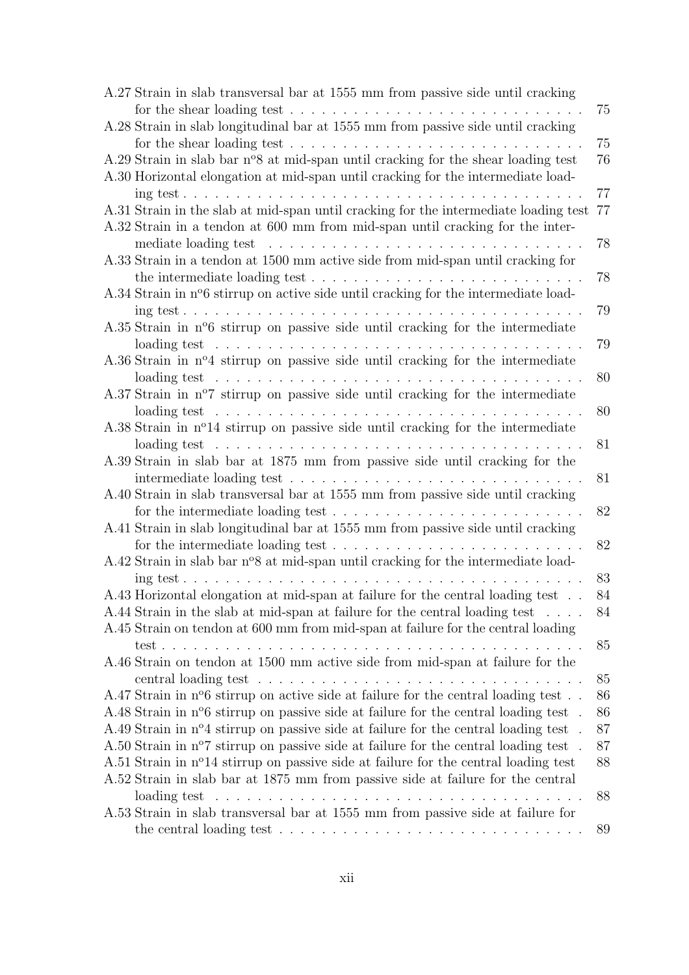| A.27 Strain in slab transversal bar at 1555 mm from passive side until cracking                                                                                                     |    |
|-------------------------------------------------------------------------------------------------------------------------------------------------------------------------------------|----|
| for the shear loading test $\ldots \ldots \ldots \ldots \ldots \ldots \ldots \ldots \ldots$                                                                                         | 75 |
| A.28 Strain in slab longitudinal bar at 1555 mm from passive side until cracking                                                                                                    | 75 |
| A.29 Strain in slab bar n°8 at mid-span until cracking for the shear loading test                                                                                                   | 76 |
| A.30 Horizontal elongation at mid-span until cracking for the intermediate load-                                                                                                    |    |
|                                                                                                                                                                                     | 77 |
| A.31 Strain in the slab at mid-span until cracking for the intermediate loading test                                                                                                | 77 |
| A.32 Strain in a tendon at 600 mm from mid-span until cracking for the inter-                                                                                                       |    |
|                                                                                                                                                                                     | 78 |
| A.33 Strain in a tendon at 1500 mm active side from mid-span until cracking for                                                                                                     |    |
| the intermediate loading test $\dots \dots \dots \dots \dots \dots \dots \dots \dots \dots$                                                                                         | 78 |
| A.34 Strain in n <sup>o</sup> 6 stirrup on active side until cracking for the intermediate load-                                                                                    |    |
|                                                                                                                                                                                     | 79 |
| A.35 Strain in n°6 stirrup on passive side until cracking for the intermediate                                                                                                      |    |
| $\alpha$ loading test $\ldots \ldots \ldots \ldots \ldots \ldots \ldots \ldots \ldots \ldots \ldots$                                                                                | 79 |
| A.36 Strain in nº4 stirrup on passive side until cracking for the intermediate                                                                                                      |    |
|                                                                                                                                                                                     | 80 |
| A.37 Strain in $n^{\circ}$ stirrup on passive side until cracking for the intermediate                                                                                              |    |
| loading test $\ldots \ldots \ldots \ldots \ldots \ldots \ldots \ldots \ldots \ldots \ldots$                                                                                         | 80 |
| A.38 Strain in nº14 stirrup on passive side until cracking for the intermediate                                                                                                     |    |
| loading test $\ldots \ldots \ldots \ldots \ldots \ldots \ldots \ldots \ldots \ldots \ldots \ldots$                                                                                  | 81 |
| A.39 Strain in slab bar at 1875 mm from passive side until cracking for the                                                                                                         |    |
|                                                                                                                                                                                     | 81 |
| A.40 Strain in slab transversal bar at 1555 mm from passive side until cracking<br>for the intermediate loading test $\dots \dots \dots \dots \dots \dots \dots \dots \dots \dots$  | 82 |
|                                                                                                                                                                                     |    |
| A.41 Strain in slab longitudinal bar at 1555 mm from passive side until cracking<br>for the intermediate loading test $\dots \dots \dots \dots \dots \dots \dots \dots \dots \dots$ | 82 |
|                                                                                                                                                                                     |    |
| A.42 Strain in slab bar n°8 at mid-span until cracking for the intermediate load-                                                                                                   | 83 |
| $\text{ing test} \ldots \ldots \ldots \ldots \ldots \ldots \ldots \ldots \ldots \ldots$                                                                                             | 84 |
| A.43 Horizontal elongation at mid-span at failure for the central loading test $\,$ .                                                                                               |    |
| A.44 Strain in the slab at mid-span at failure for the central loading test                                                                                                         | 84 |
| A.45 Strain on tendon at 600 mm from mid-span at failure for the central loading                                                                                                    |    |
| .                                                                                                                                                                                   | 85 |
| A.46 Strain on tendon at 1500 mm active side from mid-span at failure for the                                                                                                       |    |
|                                                                                                                                                                                     | 85 |
| A.47 Strain in n <sup>o</sup> 6 stirrup on active side at failure for the central loading test                                                                                      | 86 |
| A.48 Strain in n <sup>o</sup> 6 stirrup on passive side at failure for the central loading test                                                                                     | 86 |
| A.49 Strain in n°4 stirrup on passive side at failure for the central loading test                                                                                                  | 87 |
| A.50 Strain in n <sup>o</sup> 7 stirrup on passive side at failure for the central loading test                                                                                     | 87 |
| A.51 Strain in n <sup>o</sup> 14 stirrup on passive side at failure for the central loading test                                                                                    | 88 |
| A.52 Strain in slab bar at 1875 mm from passive side at failure for the central                                                                                                     |    |
| loading test $\ldots \ldots \ldots \ldots \ldots \ldots \ldots \ldots \ldots$                                                                                                       | 88 |
| A.53 Strain in slab transversal bar at 1555 mm from passive side at failure for                                                                                                     |    |
|                                                                                                                                                                                     | 89 |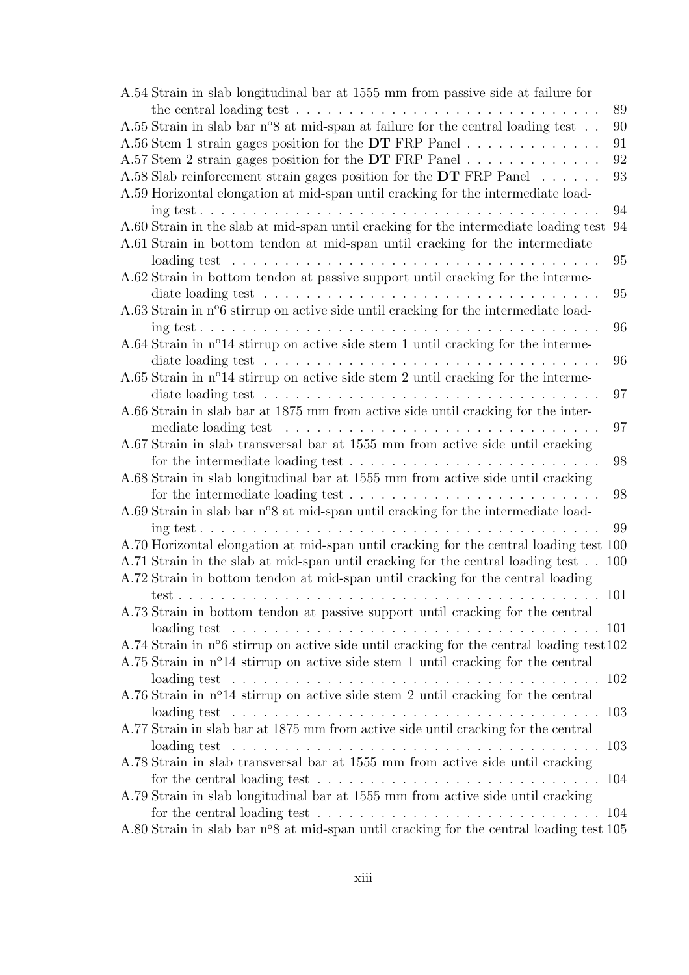| A.54 Strain in slab longitudinal bar at 1555 mm from passive side at failure for                          |     |
|-----------------------------------------------------------------------------------------------------------|-----|
| the central loading test $\ldots \ldots \ldots \ldots \ldots \ldots \ldots \ldots \ldots$                 | 89  |
| A.55 Strain in slab bar $n^{\circ}8$ at mid-span at failure for the central loading test                  | 90  |
| A.56 Stem 1 strain gages position for the DT FRP Panel                                                    | 91  |
| A.57 Stem 2 strain gages position for the DT FRP Panel                                                    | 92  |
| A.58 Slab reinforcement strain gages position for the $DT$ FRP Panel                                      | 93  |
| A.59 Horizontal elongation at mid-span until cracking for the intermediate load-                          | 94  |
| A.60 Strain in the slab at mid-span until cracking for the intermediate loading test                      | 94  |
| A.61 Strain in bottom tendon at mid-span until cracking for the intermediate                              | 95  |
| loading test $\ldots \ldots \ldots \ldots \ldots \ldots \ldots \ldots \ldots \ldots \ldots \ldots$        |     |
| A.62 Strain in bottom tendon at passive support until cracking for the interme-                           | 95  |
| A.63 Strain in n <sup>o</sup> 6 stirrup on active side until cracking for the intermediate load-          |     |
|                                                                                                           | 96  |
| A.64 Strain in nº14 stirrup on active side stem 1 until cracking for the interme-                         |     |
|                                                                                                           | 96  |
| A.65 Strain in $n^{\circ}14$ stirrup on active side stem 2 until cracking for the interme-                |     |
| diate loading test $\dots \dots \dots \dots \dots \dots \dots \dots \dots \dots \dots$                    | 97  |
| A.66 Strain in slab bar at 1875 mm from active side until cracking for the inter-                         |     |
|                                                                                                           | 97  |
| A.67 Strain in slab transversal bar at 1555 mm from active side until cracking                            |     |
|                                                                                                           | 98  |
| A.68 Strain in slab longitudinal bar at 1555 mm from active side until cracking                           |     |
| for the intermediate loading test $\dots \dots \dots \dots \dots \dots \dots \dots \dots$                 | 98  |
| A.69 Strain in slab bar n°8 at mid-span until cracking for the intermediate load-                         |     |
|                                                                                                           | 99  |
| A.70 Horizontal elongation at mid-span until cracking for the central loading test 100                    |     |
| A.71 Strain in the slab at mid-span until cracking for the central loading test                           | 100 |
| A.72 Strain in bottom tendon at mid-span until cracking for the central loading                           |     |
|                                                                                                           | 101 |
| A.73 Strain in bottom tendon at passive support until cracking for the central                            |     |
|                                                                                                           |     |
| A.74 Strain in n°6 stirrup on active side until cracking for the central loading test 102                 |     |
| A.75 Strain in nº14 stirrup on active side stem 1 until cracking for the central                          |     |
|                                                                                                           |     |
| A.76 Strain in $n^{\circ}14$ stirrup on active side stem 2 until cracking for the central                 |     |
| loading test $\ldots \ldots \ldots \ldots \ldots \ldots \ldots \ldots \ldots \ldots \ldots$               | 103 |
| A.77 Strain in slab bar at 1875 mm from active side until cracking for the central                        |     |
| loading test $\ldots \ldots \ldots \ldots \ldots \ldots \ldots \ldots \ldots \ldots \ldots \ldots \ldots$ | 103 |
| A.78 Strain in slab transversal bar at 1555 mm from active side until cracking                            |     |
| for the central loading test $\dots \dots \dots \dots \dots \dots \dots \dots \dots \dots \dots$          | 104 |
| A.79 Strain in slab longitudinal bar at 1555 mm from active side until cracking                           |     |
| for the central loading test $\dots \dots \dots \dots \dots \dots \dots \dots \dots \dots$                | 104 |
| A.80 Strain in slab bar n°8 at mid-span until cracking for the central loading test 105                   |     |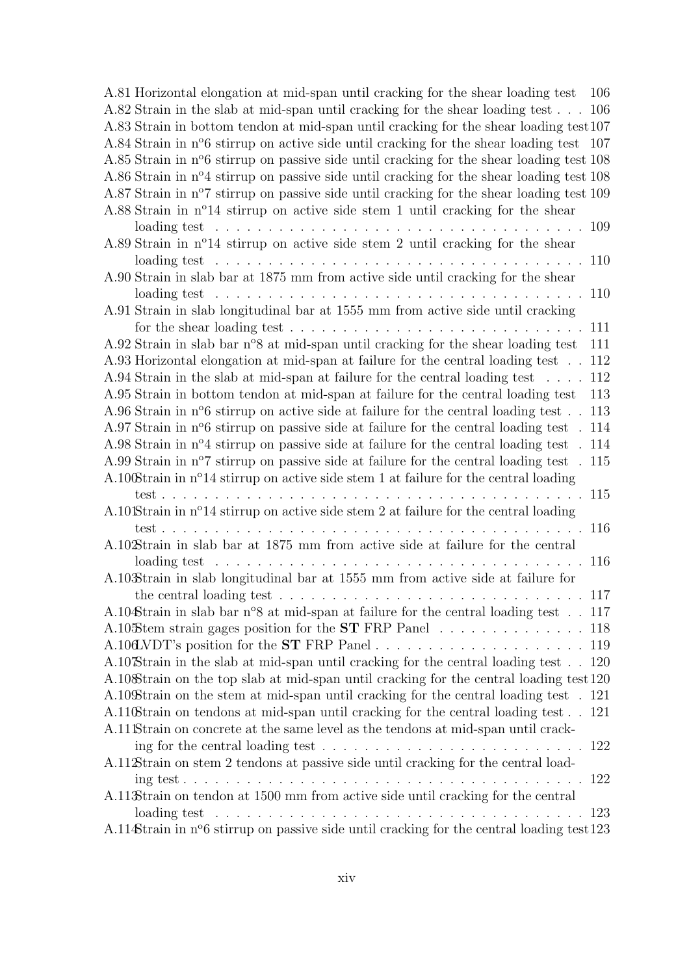| A.81 Horizontal elongation at mid-span until cracking for the shear loading test                      | 106 |
|-------------------------------------------------------------------------------------------------------|-----|
| A.82 Strain in the slab at mid-span until cracking for the shear loading test                         | 106 |
| A.83 Strain in bottom tendon at mid-span until cracking for the shear loading test107                 |     |
| A.84 Strain in n <sup>o</sup> 6 stirrup on active side until cracking for the shear loading test 107  |     |
| A.85 Strain in n <sup>o</sup> 6 stirrup on passive side until cracking for the shear loading test 108 |     |
| A.86 Strain in n <sup>o</sup> 4 stirrup on passive side until cracking for the shear loading test 108 |     |
| A.87 Strain in n <sup>o</sup> 7 stirrup on passive side until cracking for the shear loading test 109 |     |
| A.88 Strain in n <sup>o</sup> 14 stirrup on active side stem 1 until cracking for the shear           |     |
| loading test $\ldots \ldots \ldots \ldots \ldots \ldots \ldots \ldots \ldots$                         | 109 |
| A.89 Strain in $n^{\circ}14$ stirrup on active side stem 2 until cracking for the shear               |     |
| loading test $\ldots \ldots \ldots \ldots \ldots \ldots \ldots \ldots \ldots$                         | 110 |
| A.90 Strain in slab bar at 1875 mm from active side until cracking for the shear                      |     |
| loading test $\ldots \ldots \ldots \ldots \ldots \ldots \ldots \ldots \ldots \ldots \ldots$           | 110 |
| A.91 Strain in slab longitudinal bar at 1555 mm from active side until cracking                       |     |
| for the shear loading test $\ldots \ldots \ldots \ldots \ldots \ldots \ldots \ldots \ldots$           | 111 |
| A.92 Strain in slab bar $n^{\circ}8$ at mid-span until cracking for the shear loading test            | 111 |
| A.93 Horizontal elongation at mid-span at failure for the central loading test                        | 112 |
| A.94 Strain in the slab at mid-span at failure for the central loading test<br>$\ddot{\phantom{a}}$   | 112 |
| A.95 Strain in bottom tendon at mid-span at failure for the central loading test                      | 113 |
| A.96 Strain in $n^{\circ}6$ stirrup on active side at failure for the central loading test            | 113 |
| A.97 Strain in n <sup>o</sup> 6 stirrup on passive side at failure for the central loading test       | 114 |
| A.98 Strain in n <sup>o</sup> 4 stirrup on passive side at failure for the central loading test       | 114 |
| A.99 Strain in n <sup>o</sup> 7 stirrup on passive side at failure for the central loading test       | 115 |
| A.100Strain in nº14 stirrup on active side stem 1 at failure for the central loading                  |     |
| test                                                                                                  | 115 |
| A.10 Strain in nº14 stirrup on active side stem 2 at failure for the central loading                  |     |
| and a state of<br>and the service of the service                                                      | 116 |
| A.102Strain in slab bar at 1875 mm from active side at failure for the central                        |     |
| loading test                                                                                          | 116 |
| A.10 Strain in slab longitudinal bar at 1555 mm from active side at failure for                       |     |
| the central loading test $\ldots \ldots \ldots \ldots \ldots \ldots \ldots \ldots \ldots \ldots$      | 117 |
| A.104 Strain in slab bar $n^{\circ}8$ at mid-span at failure for the central loading test . 117       |     |
| A.105 tem strain gages position for the <b>ST</b> FRP Panel 118                                       |     |
|                                                                                                       |     |
| A.107Strain in the slab at mid-span until cracking for the central loading test 120                   |     |
| A.10 Strain on the top slab at mid-span until cracking for the central loading test 120               |     |
| A.10 Strain on the stem at mid-span until cracking for the central loading test . 121                 |     |
| A.110Strain on tendons at mid-span until cracking for the central loading test                        | 121 |
| A.11 Strain on concrete at the same level as the tendons at mid-span until crack-                     |     |
|                                                                                                       |     |
| A.11 Etrain on stem 2 tendons at passive side until cracking for the central load-                    |     |
| A.11 Strain on tendon at 1500 mm from active side until cracking for the central                      | 122 |
| loading test $\ldots \ldots \ldots \ldots \ldots \ldots \ldots \ldots \ldots \ldots \ldots \ldots$    | 123 |
| A.114Strain in n°6 stirrup on passive side until cracking for the central loading test123             |     |
|                                                                                                       |     |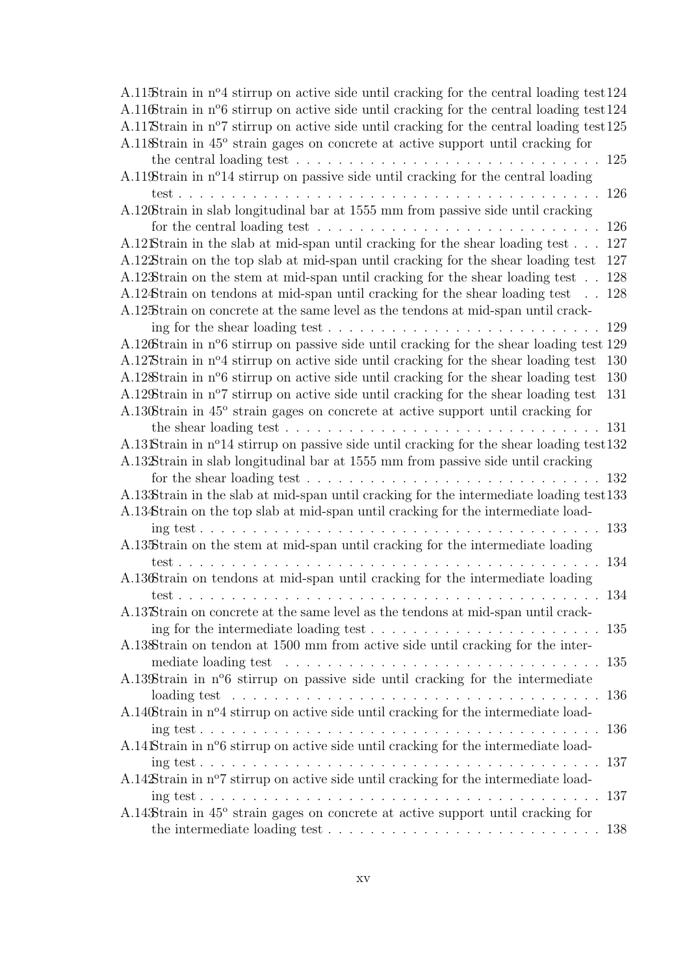| A.11.5 train in $n^{\circ}4$ stirrup on active side until cracking for the central loading test 124    |     |
|--------------------------------------------------------------------------------------------------------|-----|
| A.116Strain in n°6 stirrup on active side until cracking for the central loading test 124              |     |
| A.11 Strain in n <sup>o</sup> 7 stirrup on active side until cracking for the central loading test 125 |     |
| A.11 Strain in 45° strain gages on concrete at active support until cracking for                       |     |
| the central loading test $\dots \dots \dots \dots \dots \dots \dots \dots \dots \dots \dots$           | 125 |
| A.119Strain in nº14 stirrup on passive side until cracking for the central loading                     |     |
| test<br>$\mathbf{r}$ , $\mathbf{r}$ , $\mathbf{r}$ , $\mathbf{r}$ , $\mathbf{r}$ , $\mathbf{r}$        | 126 |
| A.120Strain in slab longitudinal bar at 1555 mm from passive side until cracking                       |     |
| for the central loading test $\dots \dots \dots \dots \dots \dots \dots \dots \dots$                   | 126 |
| A.12 Strain in the slab at mid-span until cracking for the shear loading test                          | 127 |
| A.12 Strain on the top slab at mid-span until cracking for the shear loading test                      | 127 |
| A.12 Strain on the stem at mid-span until cracking for the shear loading test.                         | 128 |
| A.124Strain on tendons at mid-span until cracking for the shear loading test                           | 128 |
| A.12.8 train on concrete at the same level as the tendons at mid-span until crack-                     |     |
| ing for the shear loading test $\ldots \ldots \ldots \ldots \ldots \ldots \ldots$                      | 129 |
| A.126Strain in n <sup>o</sup> 6 stirrup on passive side until cracking for the shear loading test 129  |     |
| A.12 Strain in n <sup>o</sup> 4 stirrup on active side until cracking for the shear loading test       | 130 |
| A.12 Strain in n <sup>o</sup> 6 stirrup on active side until cracking for the shear loading test       | 130 |
| A.12\Etrain in n <sup>o</sup> 7 stirrup on active side until cracking for the shear loading test       | 131 |
| A.130Strain in 45° strain gages on concrete at active support until cracking for                       |     |
|                                                                                                        | 131 |
| A.13 Strain in n <sup>o</sup> 14 stirrup on passive side until cracking for the shear loading test 132 |     |
| A.13 Strain in slab longitudinal bar at 1555 mm from passive side until cracking                       |     |
| for the shear loading test $\ldots \ldots \ldots \ldots \ldots \ldots \ldots \ldots \ldots$            | 132 |
| A.13 Strain in the slab at mid-span until cracking for the intermediate loading test 133               |     |
| A.134Strain on the top slab at mid-span until cracking for the intermediate load-                      |     |
| $\text{ing test} \dots \dots \dots \dots \dots \dots \dots \dots \dots \dots$                          | 133 |
| A.13. Strain on the stem at mid-span until cracking for the intermediate loading                       |     |
| test                                                                                                   | 134 |
| A.136Strain on tendons at mid-span until cracking for the intermediate loading                         |     |
|                                                                                                        | 134 |
| A.13 Strain on concrete at the same level as the tendons at mid-span until crack-                      |     |
| ing for the intermediate loading test $\dots \dots \dots \dots \dots \dots \dots \dots \dots$          | 135 |
| A.13&train on tendon at 1500 mm from active side until cracking for the inter-                         |     |
|                                                                                                        | 135 |
| A.139Strain in n°6 stirrup on passive side until cracking for the intermediate                         |     |
|                                                                                                        | 136 |
| A.140Strain in nº4 stirrup on active side until cracking for the intermediate load-                    |     |
|                                                                                                        | 136 |
| A.14 Strain in n°6 stirrup on active side until cracking for the intermediate load-                    |     |
|                                                                                                        | 137 |
| A.14 Strain in n <sup>o</sup> 7 stirrup on active side until cracking for the intermediate load-       |     |
|                                                                                                        | 137 |
| A.143Strain in 45° strain gages on concrete at active support until cracking for                       |     |
|                                                                                                        | 138 |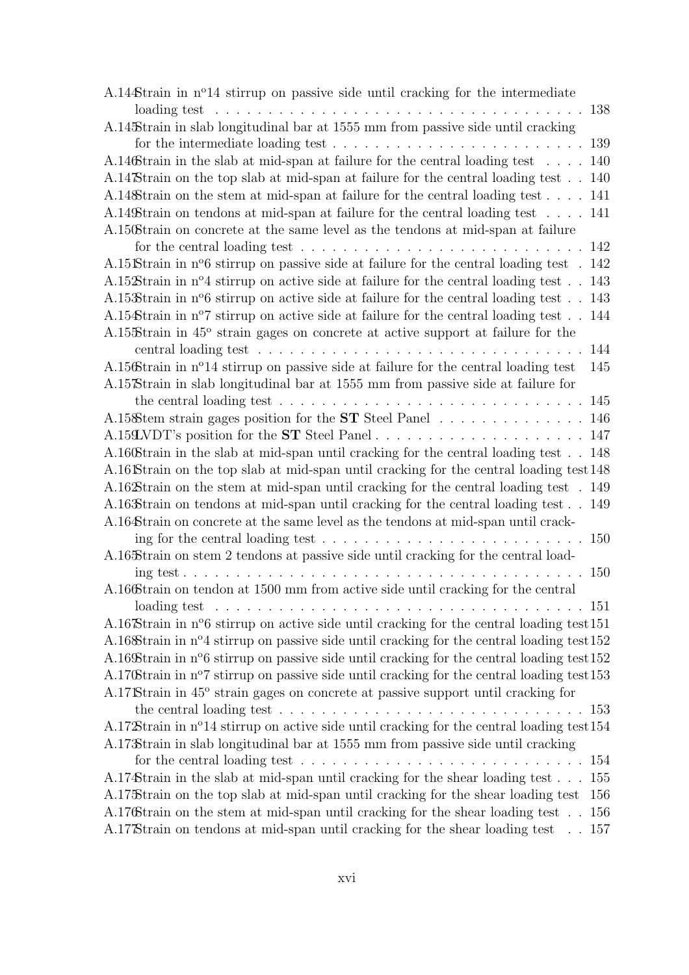| A.14 $\pm$ train in n <sup>o</sup> 14 stirrup on passive side until cracking for the intermediate           |            |
|-------------------------------------------------------------------------------------------------------------|------------|
| loading test $\ldots \ldots \ldots \ldots \ldots \ldots \ldots \ldots \ldots \ldots$                        | 138        |
| A.145Strain in slab longitudinal bar at 1555 mm from passive side until cracking                            |            |
| for the intermediate loading test $\dots \dots \dots \dots \dots \dots \dots \dots \dots \dots$             | 139        |
| A.146Strain in the slab at mid-span at failure for the central loading test                                 | 140        |
| A.14 Strain on the top slab at mid-span at failure for the central loading test                             | 140        |
| A.14\& train on the stem at mid-span at failure for the central loading test                                | 141        |
| A.149Strain on tendons at mid-span at failure for the central loading test                                  | 141        |
| A.150Strain on concrete at the same level as the tendons at mid-span at failure                             |            |
| for the central loading test $\ldots \ldots \ldots \ldots \ldots \ldots \ldots \ldots$                      | 142        |
| A.15 Strain in n°6 stirrup on passive side at failure for the central loading test.                         | 142        |
| A.15 $\mathcal{L}$ train in n <sup>o</sup> 4 stirrup on active side at failure for the central loading test | 143        |
| A.15 $\mathcal$ Strain in n°6 stirrup on active side at failure for the central loading test                | 143        |
| A.15 $\&$ train in n°7 stirrup on active side at failure for the central loading test                       | 144        |
| A.1558train in 45° strain gages on concrete at active support at failure for the                            |            |
|                                                                                                             | 144        |
| A.156Strain in n°14 stirrup on passive side at failure for the central loading test                         | 145        |
| A.15 Strain in slab longitudinal bar at 1555 mm from passive side at failure for                            |            |
| the central loading test $\ldots \ldots \ldots \ldots \ldots \ldots \ldots \ldots \ldots \ldots$            | 145        |
| A.15 Stem strain gages position for the <b>ST</b> Steel Panel 146                                           |            |
|                                                                                                             |            |
| A.160Strain in the slab at mid-span until cracking for the central loading test. 148                        |            |
| A.16 Strain on the top slab at mid-span until cracking for the central loading test 148                     |            |
| A.16 Strain on the stem at mid-span until cracking for the central loading test . 149                       |            |
| A.16 Strain on tendons at mid-span until cracking for the central loading test                              | 149        |
| A.164Strain on concrete at the same level as the tendons at mid-span until crack-                           |            |
| ing for the central loading test $\ldots \ldots \ldots \ldots \ldots \ldots \ldots \ldots \ldots 150$       |            |
| A.165Strain on stem 2 tendons at passive side until cracking for the central load-                          |            |
|                                                                                                             | <b>150</b> |
| A.166Strain on tendon at 1500 mm from active side until cracking for the central                            |            |
| loading test $\ldots \ldots \ldots \ldots \ldots \ldots \ldots \ldots \ldots \ldots \ldots \ldots$          |            |
| A.16 Strain in n <sup>o</sup> 6 stirrup on active side until cracking for the central loading test 151      |            |
| A.16 Strain in nº4 stirrup on passive side until cracking for the central loading test 152                  |            |
| A.16 $\mathcal{B}$ train in n°6 stirrup on passive side until cracking for the central loading test 152     |            |
| A.170Strain in n°7 stirrup on passive side until cracking for the central loading test153                   |            |
| A.17 Strain in 45° strain gages on concrete at passive support until cracking for                           |            |
| the central loading test $\ldots \ldots \ldots \ldots \ldots \ldots \ldots \ldots \ldots \ldots \ldots 153$ |            |
| A.17 Strain in n <sup>o</sup> 14 stirrup on active side until cracking for the central loading test 154     |            |
| A.17 Strain in slab longitudinal bar at 1555 mm from passive side until cracking                            |            |
| for the central loading test $\ldots \ldots \ldots \ldots \ldots \ldots \ldots \ldots \ldots 154$           |            |
| A.174Strain in the slab at mid-span until cracking for the shear loading test 155                           |            |
| A.175 train on the top slab at mid-span until cracking for the shear loading test 156                       |            |
| A.176 Strain on the stem at mid-span until cracking for the shear loading test. . 156                       |            |
| A.17 Strain on tendons at mid-span until cracking for the shear loading test 157                            |            |